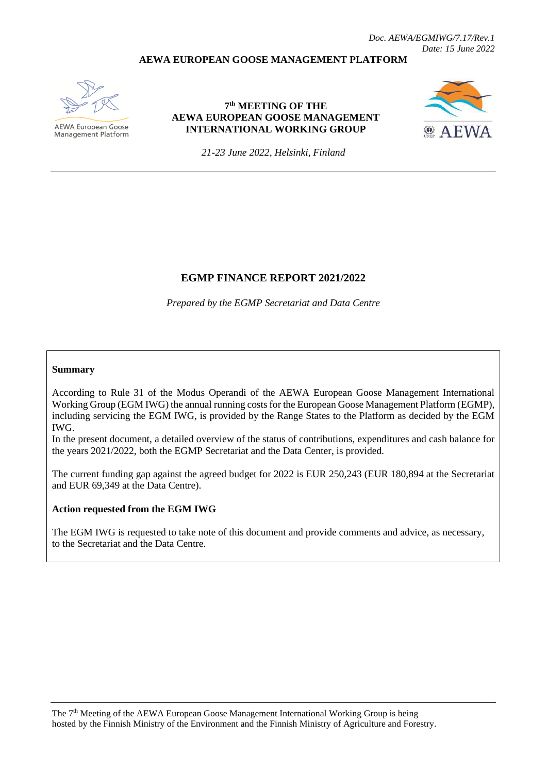#### **AEWA EUROPEAN GOOSE MANAGEMENT PLATFORM**



AEWA European Goose Management Platform

### **7 th MEETING OF THE AEWA EUROPEAN GOOSE MANAGEMENT INTERNATIONAL WORKING GROUP**



*21-23 June 2022, Helsinki, Finland*

### **EGMP FINANCE REPORT 2021/2022**

*Prepared by the EGMP Secretariat and Data Centre*

#### **Summary**

According to Rule 31 of the Modus Operandi of the AEWA European Goose Management International Working Group (EGM IWG) the annual running costs for the European Goose Management Platform (EGMP), including servicing the EGM IWG, is provided by the Range States to the Platform as decided by the EGM IWG.

In the present document, a detailed overview of the status of contributions, expenditures and cash balance for the years 2021/2022, both the EGMP Secretariat and the Data Center, is provided.

The current funding gap against the agreed budget for 2022 is EUR 250,243 (EUR 180,894 at the Secretariat and EUR 69,349 at the Data Centre).

#### **Action requested from the EGM IWG**

The EGM IWG is requested to take note of this document and provide comments and advice, as necessary, to the Secretariat and the Data Centre.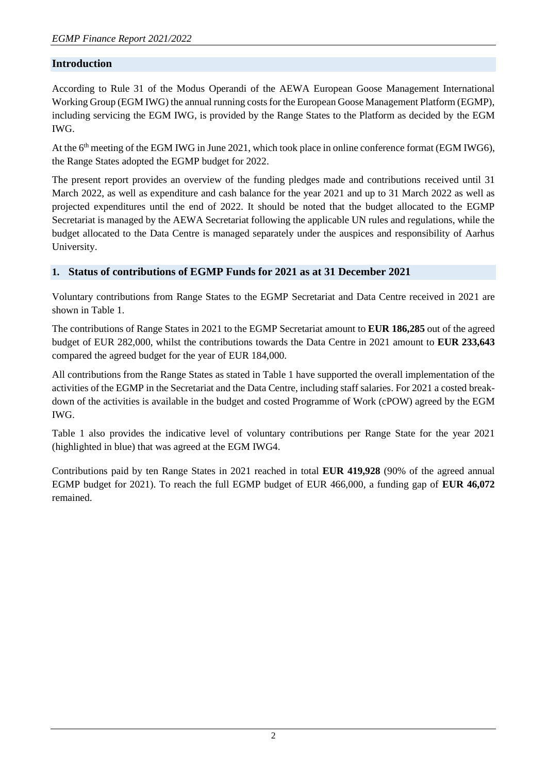# **Introduction**

According to Rule 31 of the Modus Operandi of the AEWA European Goose Management International Working Group (EGM IWG) the annual running costs for the European Goose Management Platform (EGMP), including servicing the EGM IWG, is provided by the Range States to the Platform as decided by the EGM IWG.

At the 6<sup>th</sup> meeting of the EGM IWG in June 2021, which took place in online conference format (EGM IWG6), the Range States adopted the EGMP budget for 2022.

The present report provides an overview of the funding pledges made and contributions received until 31 March 2022, as well as expenditure and cash balance for the year 2021 and up to 31 March 2022 as well as projected expenditures until the end of 2022. It should be noted that the budget allocated to the EGMP Secretariat is managed by the AEWA Secretariat following the applicable UN rules and regulations, while the budget allocated to the Data Centre is managed separately under the auspices and responsibility of Aarhus University.

# **1. Status of contributions of EGMP Funds for 2021 as at 31 December 2021**

Voluntary contributions from Range States to the EGMP Secretariat and Data Centre received in 2021 are shown in Table 1.

The contributions of Range States in 2021 to the EGMP Secretariat amount to **EUR 186,285** out of the agreed budget of EUR 282,000, whilst the contributions towards the Data Centre in 2021 amount to **EUR 233,643** compared the agreed budget for the year of EUR 184,000.

All contributions from the Range States as stated in Table 1 have supported the overall implementation of the activities of the EGMP in the Secretariat and the Data Centre, including staff salaries. For 2021 a costed breakdown of the activities is available in the budget and costed Programme of Work (cPOW) agreed by the EGM IWG.

Table 1 also provides the indicative level of voluntary contributions per Range State for the year 2021 (highlighted in blue) that was agreed at the EGM IWG4.

Contributions paid by ten Range States in 2021 reached in total **EUR 419,928** (90% of the agreed annual EGMP budget for 2021). To reach the full EGMP budget of EUR 466,000, a funding gap of **EUR 46,072** remained.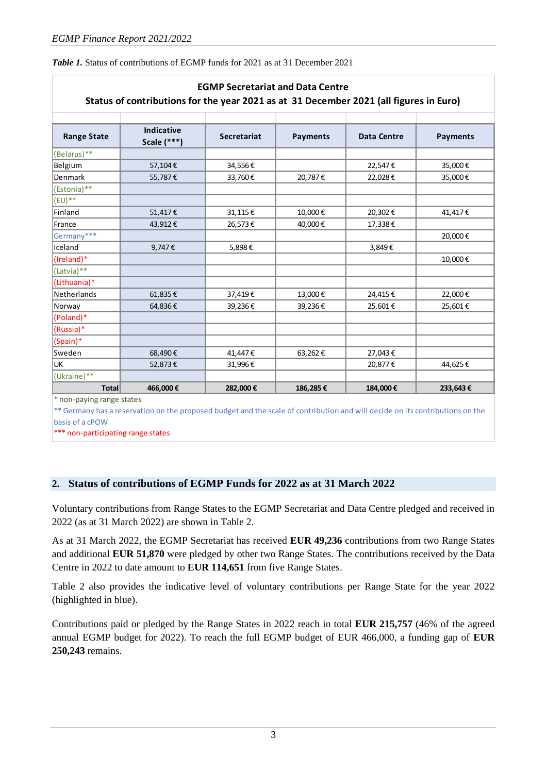| <b>EGMP Secretariat and Data Centre</b><br>Status of contributions for the year 2021 as at 31 December 2021 (all figures in Euro) |                                    |                    |                 |             |                 |  |
|-----------------------------------------------------------------------------------------------------------------------------------|------------------------------------|--------------------|-----------------|-------------|-----------------|--|
| <b>Range State</b>                                                                                                                | <b>Indicative</b><br>Scale $(***)$ | <b>Secretariat</b> | <b>Payments</b> | Data Centre | <b>Payments</b> |  |
| (Belarus)**                                                                                                                       |                                    |                    |                 |             |                 |  |
| Belgium                                                                                                                           | 57,104€                            | 34,556€            |                 | 22,547€     | 35,000€         |  |
| Denmark                                                                                                                           | 55,787€                            | 33,760€            | 20,787€         | 22,028€     | 35,000€         |  |
| (Estonia)**                                                                                                                       |                                    |                    |                 |             |                 |  |
| $(EU)$ **                                                                                                                         |                                    |                    |                 |             |                 |  |
| Finland                                                                                                                           | 51,417€                            | 31,115€            | 10,000€         | 20,302€     | 41,417€         |  |
| France                                                                                                                            | 43,912€                            | 26,573€            | 40,000€         | 17,338€     |                 |  |
| Germany***                                                                                                                        |                                    |                    |                 |             | 20,000€         |  |
| Iceland                                                                                                                           | 9,747€                             | 5,898€             |                 | 3,849€      |                 |  |
| (Ireland)*                                                                                                                        |                                    |                    |                 |             | 10,000€         |  |
| (Latvia)**                                                                                                                        |                                    |                    |                 |             |                 |  |
| (Lithuania)*                                                                                                                      |                                    |                    |                 |             |                 |  |
| Netherlands                                                                                                                       | 61,835€                            | 37,419€            | 13,000€         | 24,415€     | 22,000€         |  |
| Norway                                                                                                                            | 64,836€                            | 39,236€            | 39,236€         | 25,601€     | 25,601€         |  |
| (Poland)*                                                                                                                         |                                    |                    |                 |             |                 |  |
| (Russia)*                                                                                                                         |                                    |                    |                 |             |                 |  |
| (Spain)*                                                                                                                          |                                    |                    |                 |             |                 |  |
| Sweden                                                                                                                            | 68,490€                            | 41,447€            | 63,262€         | 27,043€     |                 |  |
| UK                                                                                                                                | 52,873€                            | 31,996€            |                 | 20,877€     | 44,625€         |  |
| (Ukraine)**                                                                                                                       |                                    |                    |                 |             |                 |  |
| <b>Total</b>                                                                                                                      | 466,000€                           | 282,000€           | 186,285€        | 184,000€    | 233,643€        |  |

\* non-paying range states

\*\* Germany has a reservation on the proposed budget and the scale of contribution and will decide on its contributions on the basis of a cPOW

\*\*\* non-participating range states

# **2. Status of contributions of EGMP Funds for 2022 as at 31 March 2022**

Voluntary contributions from Range States to the EGMP Secretariat and Data Centre pledged and received in 2022 (as at 31 March 2022) are shown in Table 2.

As at 31 March 2022, the EGMP Secretariat has received **EUR 49,236** contributions from two Range States and additional **EUR 51,870** were pledged by other two Range States. The contributions received by the Data Centre in 2022 to date amount to **EUR 114,651** from five Range States.

Table 2 also provides the indicative level of voluntary contributions per Range State for the year 2022 (highlighted in blue).

Contributions paid or pledged by the Range States in 2022 reach in total **EUR 215,757** (46% of the agreed annual EGMP budget for 2022). To reach the full EGMP budget of EUR 466,000, a funding gap of **EUR 250,243** remains.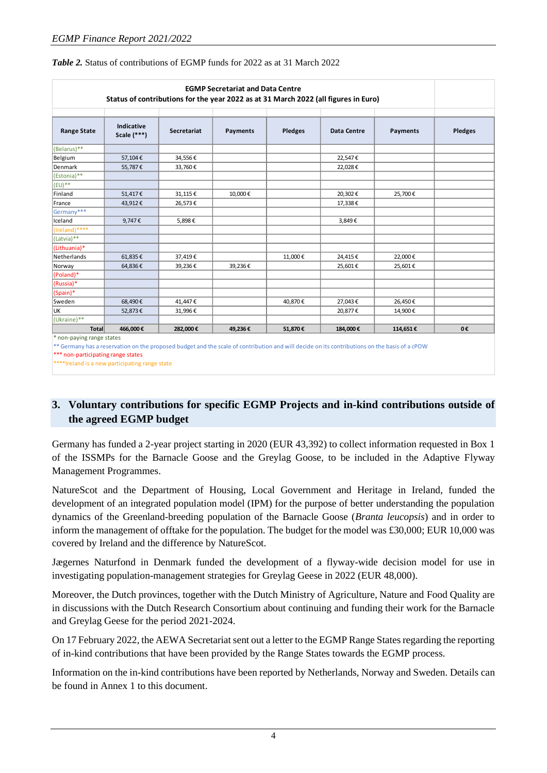| <b>EGMP Secretariat and Data Centre</b><br>Status of contributions for the year 2022 as at 31 March 2022 (all figures in Euro)                                                                                                                                                                                                                                                                                                                                                                                                |                             |                    |          |                |                    |          |         |
|-------------------------------------------------------------------------------------------------------------------------------------------------------------------------------------------------------------------------------------------------------------------------------------------------------------------------------------------------------------------------------------------------------------------------------------------------------------------------------------------------------------------------------|-----------------------------|--------------------|----------|----------------|--------------------|----------|---------|
| <b>Range State</b>                                                                                                                                                                                                                                                                                                                                                                                                                                                                                                            | Indicative<br>Scale $(***)$ | <b>Secretariat</b> | Payments | <b>Pledges</b> | <b>Data Centre</b> | Payments | Pledges |
| (Belarus)**                                                                                                                                                                                                                                                                                                                                                                                                                                                                                                                   |                             |                    |          |                |                    |          |         |
| Belgium                                                                                                                                                                                                                                                                                                                                                                                                                                                                                                                       | 57,104€                     | 34,556€            |          |                | 22,547€            |          |         |
| Denmark                                                                                                                                                                                                                                                                                                                                                                                                                                                                                                                       | 55,787€                     | 33,760€            |          |                | 22,028€            |          |         |
| (Estonia)**                                                                                                                                                                                                                                                                                                                                                                                                                                                                                                                   |                             |                    |          |                |                    |          |         |
| $ $ (EU)**                                                                                                                                                                                                                                                                                                                                                                                                                                                                                                                    |                             |                    |          |                |                    |          |         |
| Finland                                                                                                                                                                                                                                                                                                                                                                                                                                                                                                                       | 51,417€                     | 31,115€            | 10,000€  |                | 20,302€            | 25,700€  |         |
| France                                                                                                                                                                                                                                                                                                                                                                                                                                                                                                                        | 43,912€                     | 26,573€            |          |                | 17,338€            |          |         |
| Germany***                                                                                                                                                                                                                                                                                                                                                                                                                                                                                                                    |                             |                    |          |                |                    |          |         |
| Iceland                                                                                                                                                                                                                                                                                                                                                                                                                                                                                                                       | 9,747€                      | 5,898€             |          |                | 3,849€             |          |         |
| (Ireland)****                                                                                                                                                                                                                                                                                                                                                                                                                                                                                                                 |                             |                    |          |                |                    |          |         |
| (Latvia)**                                                                                                                                                                                                                                                                                                                                                                                                                                                                                                                    |                             |                    |          |                |                    |          |         |
| (Lithuania)*                                                                                                                                                                                                                                                                                                                                                                                                                                                                                                                  |                             |                    |          |                |                    |          |         |
| Netherlands                                                                                                                                                                                                                                                                                                                                                                                                                                                                                                                   | 61,835€                     | 37,419€            |          | 11,000€        | 24,415€            | 22,000€  |         |
| Norway                                                                                                                                                                                                                                                                                                                                                                                                                                                                                                                        | 64,836€                     | 39,236€            | 39,236€  |                | 25,601€            | 25,601€  |         |
| (Poland)*                                                                                                                                                                                                                                                                                                                                                                                                                                                                                                                     |                             |                    |          |                |                    |          |         |
| (Russia)*                                                                                                                                                                                                                                                                                                                                                                                                                                                                                                                     |                             |                    |          |                |                    |          |         |
| (Spain)*                                                                                                                                                                                                                                                                                                                                                                                                                                                                                                                      |                             |                    |          |                |                    |          |         |
| Sweden                                                                                                                                                                                                                                                                                                                                                                                                                                                                                                                        | 68,490€                     | 41,447€            |          | 40,870€        | 27,043€            | 26,450€  |         |
| UK                                                                                                                                                                                                                                                                                                                                                                                                                                                                                                                            | 52,873€                     | 31,996€            |          |                | 20,877€            | 14,900€  |         |
| $(Ukraise)$ <sup>**</sup>                                                                                                                                                                                                                                                                                                                                                                                                                                                                                                     |                             |                    |          |                |                    |          |         |
| Total                                                                                                                                                                                                                                                                                                                                                                                                                                                                                                                         | 466,000€                    | 282,000€           | 49,236€  | 51,870€        | 184,000€           | 114,651€ | 0€      |
| * non-paying range states<br>the contract of the contract of the contract of the contract of the contract of the contract of the contract of the contract of the contract of the contract of the contract of the contract of the contract of the contract o<br>the company of the company of the company of the company of the company of the company of the company of the company of the company of the company of the company of the company of the company of the company of the company<br>the state of the state of the |                             |                    |          |                |                    |          |         |

*Table 2.* Status of contributions of EGMP funds for 2022 as at 31 March 2022

\*\* Germany has a reservation on the proposed budget and the scale of contribution and will decide on its contributions on the basis of a cPOW \*\*\* non-participating range states

\*\*\*\*Ireland is a new participating range state

# **3. Voluntary contributions for specific EGMP Projects and in-kind contributions outside of the agreed EGMP budget**

Germany has funded a 2-year project starting in 2020 (EUR 43,392) to collect information requested in Box 1 of the ISSMPs for the Barnacle Goose and the Greylag Goose, to be included in the Adaptive Flyway Management Programmes.

NatureScot and the Department of Housing, Local Government and Heritage in Ireland, funded the development of an integrated population model (IPM) for the purpose of better understanding the population dynamics of the Greenland-breeding population of the Barnacle Goose (*Branta leucopsis*) and in order to inform the management of offtake for the population. The budget for the model was £30,000; EUR 10,000 was covered by Ireland and the difference by NatureScot.

Jægernes Naturfond in Denmark funded the development of a flyway-wide decision model for use in investigating population-management strategies for Greylag Geese in 2022 (EUR 48,000).

Moreover, the Dutch provinces, together with the Dutch Ministry of Agriculture, Nature and Food Quality are in discussions with the Dutch Research Consortium about continuing and funding their work for the Barnacle and Greylag Geese for the period 2021-2024.

On 17 February 2022, the AEWA Secretariat sent out a letter to the EGMP Range States regarding the reporting of in-kind contributions that have been provided by the Range States towards the EGMP process.

Information on the in-kind contributions have been reported by Netherlands, Norway and Sweden. Details can be found in Annex 1 to this document.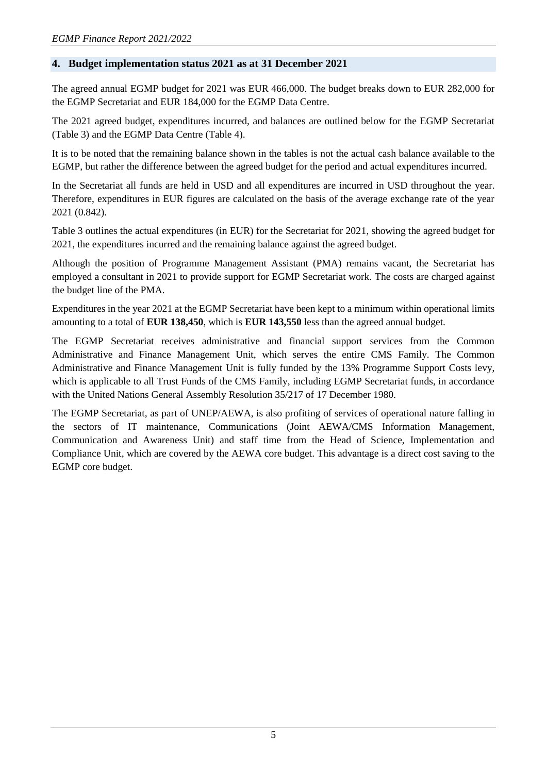# **4. Budget implementation status 2021 as at 31 December 2021**

The agreed annual EGMP budget for 2021 was EUR 466,000. The budget breaks down to EUR 282,000 for the EGMP Secretariat and EUR 184,000 for the EGMP Data Centre.

The 2021 agreed budget, expenditures incurred, and balances are outlined below for the EGMP Secretariat (Table 3) and the EGMP Data Centre (Table 4).

It is to be noted that the remaining balance shown in the tables is not the actual cash balance available to the EGMP, but rather the difference between the agreed budget for the period and actual expenditures incurred.

In the Secretariat all funds are held in USD and all expenditures are incurred in USD throughout the year. Therefore, expenditures in EUR figures are calculated on the basis of the average exchange rate of the year 2021 (0.842).

Table 3 outlines the actual expenditures (in EUR) for the Secretariat for 2021, showing the agreed budget for 2021, the expenditures incurred and the remaining balance against the agreed budget.

Although the position of Programme Management Assistant (PMA) remains vacant, the Secretariat has employed a consultant in 2021 to provide support for EGMP Secretariat work. The costs are charged against the budget line of the PMA.

Expenditures in the year 2021 at the EGMP Secretariat have been kept to a minimum within operational limits amounting to a total of **EUR 138,450**, which is **EUR 143,550** less than the agreed annual budget.

The EGMP Secretariat receives administrative and financial support services from the Common Administrative and Finance Management Unit, which serves the entire CMS Family. The Common Administrative and Finance Management Unit is fully funded by the 13% Programme Support Costs levy, which is applicable to all Trust Funds of the CMS Family, including EGMP Secretariat funds, in accordance with the United Nations General Assembly Resolution 35/217 of 17 December 1980.

The EGMP Secretariat, as part of UNEP/AEWA, is also profiting of services of operational nature falling in the sectors of IT maintenance, Communications (Joint AEWA/CMS Information Management, Communication and Awareness Unit) and staff time from the Head of Science, Implementation and Compliance Unit, which are covered by the AEWA core budget. This advantage is a direct cost saving to the EGMP core budget.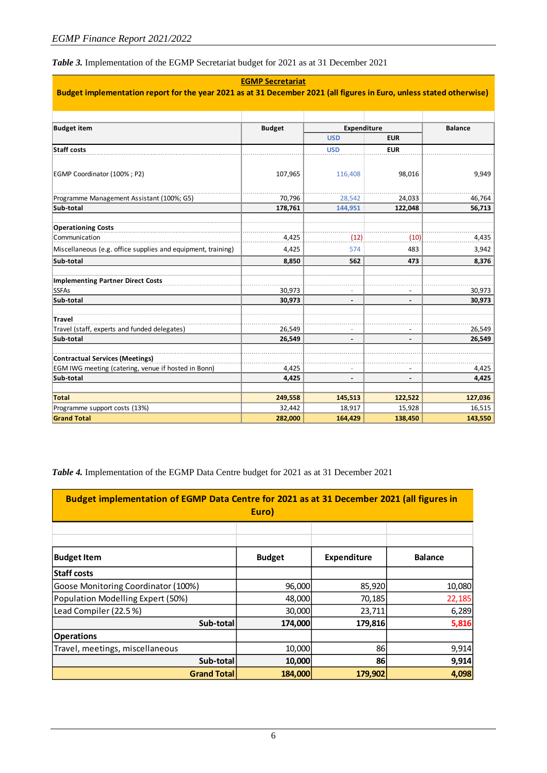*Table 3.* Implementation of the EGMP Secretariat budget for 2021 as at 31 December 2021

| <b>EGMP Secretariat</b><br>Budget implementation report for the year 2021 as at 31 December 2021 (all figures in Euro, unless stated otherwise) |                  |                          |                          |                  |  |
|-------------------------------------------------------------------------------------------------------------------------------------------------|------------------|--------------------------|--------------------------|------------------|--|
|                                                                                                                                                 |                  |                          |                          |                  |  |
| <b>Budget item</b>                                                                                                                              | <b>Budget</b>    | Expenditure              |                          | <b>Balance</b>   |  |
|                                                                                                                                                 |                  | <b>USD</b>               | <b>EUR</b>               |                  |  |
| <b>Staff costs</b>                                                                                                                              |                  | <b>USD</b>               | <b>EUR</b>               |                  |  |
| EGMP Coordinator (100%; P2)                                                                                                                     | 107,965          | 116,408                  | 98,016                   | 9,949            |  |
| Programme Management Assistant (100%; G5)                                                                                                       | 70,796           | 28,542                   | 24,033                   | 46,764           |  |
| Sub-total                                                                                                                                       | 178,761          | 144,951                  | 122,048                  | 56,713           |  |
|                                                                                                                                                 |                  |                          |                          |                  |  |
| <b>Operationing Costs</b>                                                                                                                       |                  |                          |                          |                  |  |
| Communication                                                                                                                                   | 4,425            | (12)                     | (10)                     | 4,435            |  |
| Miscellaneous (e.g. office supplies and equipment, training)                                                                                    | 4,425            | 574                      | 483                      | 3,942            |  |
| Sub-total                                                                                                                                       | 8,850            | 562                      | 473                      | 8,376            |  |
| <b>Implementing Partner Direct Costs</b>                                                                                                        |                  |                          |                          |                  |  |
| <b>SSFAs</b>                                                                                                                                    | 30,973           |                          |                          | 30,973           |  |
| Sub-total                                                                                                                                       | 30,973           | $\overline{\phantom{a}}$ | $\blacksquare$           | 30,973           |  |
|                                                                                                                                                 |                  |                          |                          |                  |  |
| Travel<br>Travel (staff, experts and funded delegates)                                                                                          |                  |                          |                          |                  |  |
| Sub-total                                                                                                                                       | 26,549<br>26,549 |                          |                          | 26,549<br>26,549 |  |
|                                                                                                                                                 |                  |                          |                          |                  |  |
| <b>Contractual Services (Meetings)</b>                                                                                                          |                  |                          |                          |                  |  |
| EGM IWG meeting (catering, venue if hosted in Bonn)                                                                                             | 4,425            |                          |                          | 4,425            |  |
| Sub-total                                                                                                                                       | 4,425            |                          | $\overline{\phantom{a}}$ | 4,425            |  |
| <b>Total</b>                                                                                                                                    | 249,558          | 145,513                  | 122,522                  | 127,036          |  |
| Programme support costs (13%)                                                                                                                   | 32,442           | 18,917                   | 15,928                   | 16,515           |  |
| <b>Grand Total</b>                                                                                                                              | 282,000          | 164,429                  | 138,450                  | 143,550          |  |

*Table 4.* Implementation of the EGMP Data Centre budget for 2021 as at 31 December 2021

| Budget implementation of EGMP Data Centre for 2021 as at 31 December 2021 (all figures in<br>Euro) |               |                    |                |  |  |  |
|----------------------------------------------------------------------------------------------------|---------------|--------------------|----------------|--|--|--|
|                                                                                                    |               |                    |                |  |  |  |
| <b>Budget Item</b>                                                                                 | <b>Budget</b> | <b>Expenditure</b> | <b>Balance</b> |  |  |  |
| Staff costs                                                                                        |               |                    |                |  |  |  |
| Goose Monitoring Coordinator (100%)                                                                | 96,000        | 85,920             | 10,080         |  |  |  |
| Population Modelling Expert (50%)                                                                  | 48,000        | 70,185             | 22,185         |  |  |  |
| Lead Compiler (22.5%)                                                                              | 30,000        | 23,711             | 6,289          |  |  |  |
| Sub-total                                                                                          | 174,000       | 179,816            | 5,816          |  |  |  |
| <b>Operations</b>                                                                                  |               |                    |                |  |  |  |
| Travel, meetings, miscellaneous                                                                    | 10,000        | 86                 | 9,914          |  |  |  |
| Sub-total                                                                                          | 10,000        | 86                 | 9,914          |  |  |  |
| <b>Grand Total</b>                                                                                 | 184,000       | 179.902            | 4,098          |  |  |  |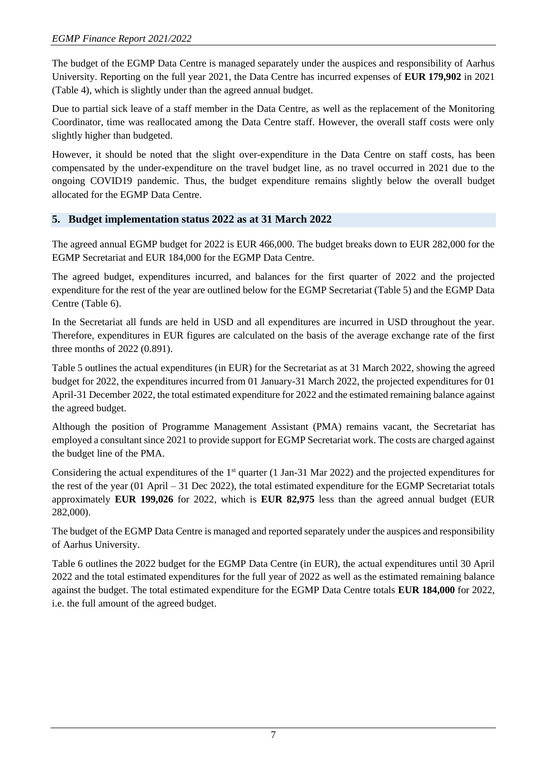The budget of the EGMP Data Centre is managed separately under the auspices and responsibility of Aarhus University. Reporting on the full year 2021, the Data Centre has incurred expenses of **EUR 179,902** in 2021 (Table 4), which is slightly under than the agreed annual budget.

Due to partial sick leave of a staff member in the Data Centre, as well as the replacement of the Monitoring Coordinator, time was reallocated among the Data Centre staff. However, the overall staff costs were only slightly higher than budgeted.

However, it should be noted that the slight over-expenditure in the Data Centre on staff costs, has been compensated by the under-expenditure on the travel budget line, as no travel occurred in 2021 due to the ongoing COVID19 pandemic. Thus, the budget expenditure remains slightly below the overall budget allocated for the EGMP Data Centre.

# **5. Budget implementation status 2022 as at 31 March 2022**

The agreed annual EGMP budget for 2022 is EUR 466,000. The budget breaks down to EUR 282,000 for the EGMP Secretariat and EUR 184,000 for the EGMP Data Centre.

The agreed budget, expenditures incurred, and balances for the first quarter of 2022 and the projected expenditure for the rest of the year are outlined below for the EGMP Secretariat (Table 5) and the EGMP Data Centre (Table 6).

In the Secretariat all funds are held in USD and all expenditures are incurred in USD throughout the year. Therefore, expenditures in EUR figures are calculated on the basis of the average exchange rate of the first three months of 2022 (0.891).

Table 5 outlines the actual expenditures (in EUR) for the Secretariat as at 31 March 2022, showing the agreed budget for 2022, the expenditures incurred from 01 January-31 March 2022, the projected expenditures for 01 April-31 December 2022, the total estimated expenditure for 2022 and the estimated remaining balance against the agreed budget.

Although the position of Programme Management Assistant (PMA) remains vacant, the Secretariat has employed a consultant since 2021 to provide support for EGMP Secretariat work. The costs are charged against the budget line of the PMA.

Considering the actual expenditures of the 1st quarter (1 Jan-31 Mar 2022) and the projected expenditures for the rest of the year (01 April – 31 Dec 2022), the total estimated expenditure for the EGMP Secretariat totals approximately **EUR 199,026** for 2022, which is **EUR 82,975** less than the agreed annual budget (EUR 282,000).

The budget of the EGMP Data Centre is managed and reported separately under the auspices and responsibility of Aarhus University.

Table 6 outlines the 2022 budget for the EGMP Data Centre (in EUR), the actual expenditures until 30 April 2022 and the total estimated expenditures for the full year of 2022 as well as the estimated remaining balance against the budget. The total estimated expenditure for the EGMP Data Centre totals **EUR 184,000** for 2022, i.e. the full amount of the agreed budget.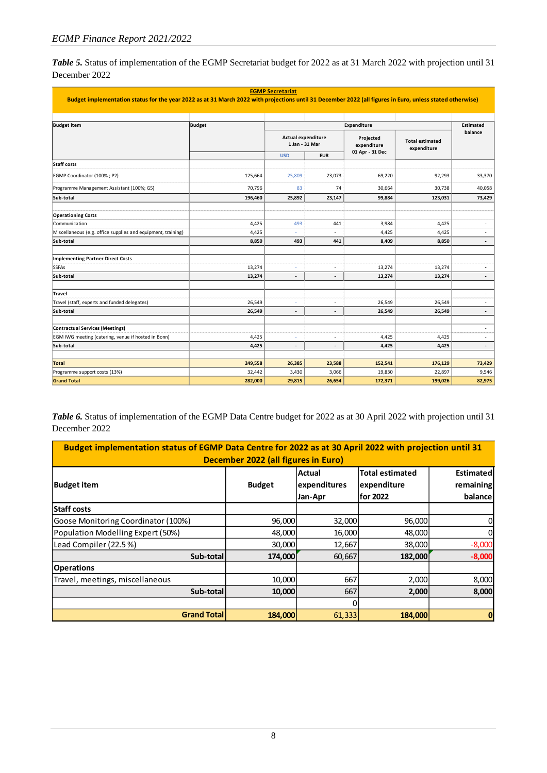*Table 5.* Status of implementation of the EGMP Secretariat budget for 2022 as at 31 March 2022 with projection until 31 December 2022

| <b>EGMP Secretariat</b>                                                                                                                                   |               |                                      |                          |                          |                                       |                          |
|-----------------------------------------------------------------------------------------------------------------------------------------------------------|---------------|--------------------------------------|--------------------------|--------------------------|---------------------------------------|--------------------------|
| Budget implementation status for the year 2022 as at 31 March 2022 with projections until 31 December 2022 (all figures in Euro, unless stated otherwise) |               |                                      |                          |                          |                                       |                          |
| <b>Budget item</b>                                                                                                                                        | <b>Budget</b> |                                      |                          | Expenditure              |                                       | Estimated                |
|                                                                                                                                                           |               |                                      | balance                  |                          |                                       |                          |
|                                                                                                                                                           |               | Actual expenditure<br>1 Jan - 31 Mar |                          | Projected<br>expenditure | <b>Total estimated</b><br>expenditure |                          |
|                                                                                                                                                           |               | <b>USD</b>                           | <b>EUR</b>               | 01 Apr - 31 Dec          |                                       |                          |
| <b>Staff costs</b>                                                                                                                                        |               |                                      |                          |                          |                                       |                          |
| EGMP Coordinator (100%; P2)                                                                                                                               | 125,664       | 25,809                               | 23,073                   | 69,220                   | 92,293                                | 33,370                   |
| Programme Management Assistant (100%; G5)                                                                                                                 | 70,796        | 83                                   | 74                       | 30,664                   | 30,738                                | 40,058                   |
| Sub-total                                                                                                                                                 | 196,460       | 25,892                               | 23,147                   | 99,884                   | 123,031                               | 73,429                   |
|                                                                                                                                                           |               |                                      |                          |                          |                                       |                          |
| <b>Operationing Costs</b><br>Communication                                                                                                                | 4,425         | 493                                  | 441                      | 3,984                    | 4,425                                 |                          |
| Miscellaneous (e.g. office supplies and equipment, training)                                                                                              | 4,425         |                                      |                          | 4,425                    | 4,425                                 |                          |
| Sub-total                                                                                                                                                 | 8,850         | 493                                  | 441                      | 8,409                    | 8,850                                 |                          |
| <b>Implementing Partner Direct Costs</b>                                                                                                                  |               |                                      |                          |                          |                                       |                          |
| <b>SSFAs</b>                                                                                                                                              | 13,274        | ÷                                    | ٠                        | 13,274                   | 13,274                                | $\overline{a}$           |
| Sub-total                                                                                                                                                 | 13,274        | $\overline{\phantom{a}}$             |                          | 13,274                   | 13,274                                | $\blacksquare$           |
| <b>Travel</b>                                                                                                                                             |               |                                      |                          |                          |                                       | ٠                        |
| Travel (staff, experts and funded delegates)                                                                                                              | 26,549        |                                      |                          | 26,549                   | 26,549                                |                          |
| Sub-total                                                                                                                                                 | 26,549        | $\overline{\phantom{a}}$             | $\overline{\phantom{a}}$ | 26,549                   | 26,549                                | $\overline{\phantom{a}}$ |
|                                                                                                                                                           |               |                                      |                          |                          |                                       |                          |
| <b>Contractual Services (Meetings)</b>                                                                                                                    |               |                                      |                          |                          |                                       | ä,                       |
| EGM IWG meeting (catering, venue if hosted in Bonn)                                                                                                       | 4,425         |                                      |                          | 4,425                    | 4,425                                 | ٠                        |
| Sub-total                                                                                                                                                 | 4,425         | $\overline{a}$                       |                          | 4,425                    | 4,425                                 | $\overline{a}$           |
| <b>Total</b>                                                                                                                                              | 249,558       | 26,385                               | 23,588                   | 152,541                  | 176,129                               | 73,429                   |
| Programme support costs (13%)                                                                                                                             | 32,442        | 3,430                                | 3,066                    | 19,830                   | 22,897                                | 9,546                    |
| <b>Grand Total</b>                                                                                                                                        | 282,000       | 29,815                               | 26,654                   | 172,371                  | 199,026                               | 82,975                   |

*Table 6.* Status of implementation of the EGMP Data Centre budget for 2022 as at 30 April 2022 with projection until 31 December 2022

| Budget implementation status of EGMP Data Centre for 2022 as at 30 April 2022 with projection until 31<br>December 2022 (all figures in Euro) |               |                                          |                                            |                                   |  |  |  |
|-----------------------------------------------------------------------------------------------------------------------------------------------|---------------|------------------------------------------|--------------------------------------------|-----------------------------------|--|--|--|
| <b>Budget item</b>                                                                                                                            | <b>Budget</b> | <b>Actual</b><br>expenditures<br>Jan-Apr | Total estimated<br>expenditure<br>for 2022 | Estimated<br>remaining<br>balance |  |  |  |
| <b>Staff costs</b>                                                                                                                            |               |                                          |                                            |                                   |  |  |  |
| Goose Monitoring Coordinator (100%)                                                                                                           | 96,000        | 32,000                                   | 96,000                                     |                                   |  |  |  |
| Population Modelling Expert (50%)                                                                                                             | 48,000        | 16,000                                   | 48,000                                     |                                   |  |  |  |
| Lead Compiler (22.5%)                                                                                                                         | 30,000        | 12,667                                   | 38,000                                     | $-8,000$                          |  |  |  |
| Sub-total                                                                                                                                     | 174,000       | 60,667                                   | 182,000                                    | $-8,000$                          |  |  |  |
| <b>Operations</b>                                                                                                                             |               |                                          |                                            |                                   |  |  |  |
| Travel, meetings, miscellaneous                                                                                                               | 10,000        | 667                                      | 2,000                                      | 8,000                             |  |  |  |
| Sub-total                                                                                                                                     | 10,000        | 667                                      | 2,000                                      | 8,000                             |  |  |  |
|                                                                                                                                               |               |                                          |                                            |                                   |  |  |  |
| <b>Grand Total</b><br>184,000<br>61,333<br>184,000                                                                                            |               |                                          |                                            |                                   |  |  |  |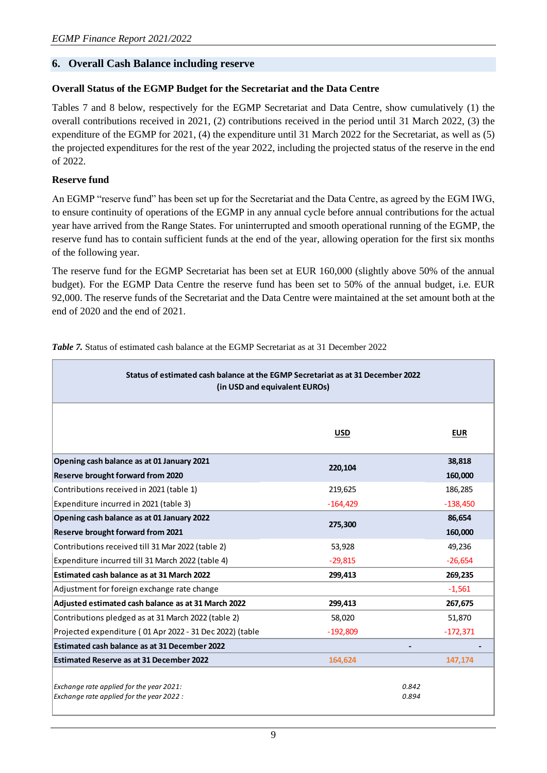### **6. Overall Cash Balance including reserve**

### **Overall Status of the EGMP Budget for the Secretariat and the Data Centre**

Tables 7 and 8 below, respectively for the EGMP Secretariat and Data Centre, show cumulatively (1) the overall contributions received in 2021, (2) contributions received in the period until 31 March 2022, (3) the expenditure of the EGMP for 2021, (4) the expenditure until 31 March 2022 for the Secretariat, as well as (5) the projected expenditures for the rest of the year 2022, including the projected status of the reserve in the end of 2022.

### **Reserve fund**

An EGMP "reserve fund" has been set up for the Secretariat and the Data Centre, as agreed by the EGM IWG, to ensure continuity of operations of the EGMP in any annual cycle before annual contributions for the actual year have arrived from the Range States. For uninterrupted and smooth operational running of the EGMP, the reserve fund has to contain sufficient funds at the end of the year, allowing operation for the first six months of the following year.

The reserve fund for the EGMP Secretariat has been set at EUR 160,000 (slightly above 50% of the annual budget). For the EGMP Data Centre the reserve fund has been set to 50% of the annual budget, i.e. EUR 92,000. The reserve funds of the Secretariat and the Data Centre were maintained at the set amount both at the end of 2020 and the end of 2021.

| Status of estimated cash balance at the EGMP Secretariat as at 31 December 2022<br>(in USD and equivalent EUROs) |            |                |  |  |  |
|------------------------------------------------------------------------------------------------------------------|------------|----------------|--|--|--|
|                                                                                                                  | <b>USD</b> | <b>EUR</b>     |  |  |  |
| Opening cash balance as at 01 January 2021                                                                       | 220,104    | 38,818         |  |  |  |
| <b>Reserve brought forward from 2020</b>                                                                         |            | 160,000        |  |  |  |
| Contributions received in 2021 (table 1)                                                                         | 219,625    | 186,285        |  |  |  |
| Expenditure incurred in 2021 (table 3)                                                                           | $-164,429$ | $-138,450$     |  |  |  |
| Opening cash balance as at 01 January 2022                                                                       | 86,654     |                |  |  |  |
| <b>Reserve brought forward from 2021</b>                                                                         | 275,300    | 160,000        |  |  |  |
| Contributions received till 31 Mar 2022 (table 2)                                                                | 53,928     | 49,236         |  |  |  |
| Expenditure incurred till 31 March 2022 (table 4)                                                                | $-29,815$  | $-26,654$      |  |  |  |
| Estimated cash balance as at 31 March 2022                                                                       | 299,413    | 269,235        |  |  |  |
| Adjustment for foreign exchange rate change                                                                      |            | $-1,561$       |  |  |  |
| Adjusted estimated cash balance as at 31 March 2022                                                              | 299,413    | 267,675        |  |  |  |
| Contributions pledged as at 31 March 2022 (table 2)                                                              | 58.020     | 51.870         |  |  |  |
| Projected expenditure (01 Apr 2022 - 31 Dec 2022) (table                                                         | $-192,809$ | $-172,371$     |  |  |  |
| Estimated cash balance as at 31 December 2022                                                                    |            |                |  |  |  |
| <b>Estimated Reserve as at 31 December 2022</b>                                                                  | 164,624    | 147,174        |  |  |  |
| Exchange rate applied for the year 2021:<br>Exchange rate applied for the year 2022 :                            |            | 0.842<br>0.894 |  |  |  |

*Table 7.* Status of estimated cash balance at the EGMP Secretariat as at 31 December 2022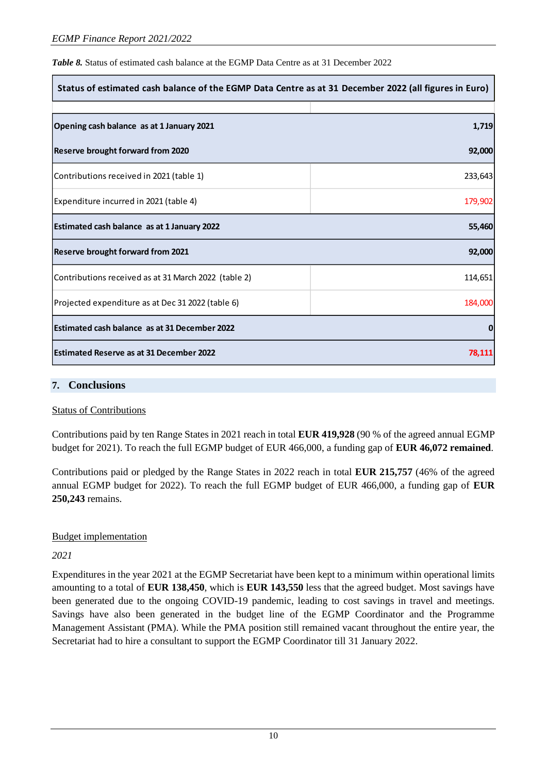*Table 8.* Status of estimated cash balance at the EGMP Data Centre as at 31 December 2022

| Status of estimated cash balance of the EGMP Data Centre as at 31 December 2022 (all figures in Euro) |         |  |  |
|-------------------------------------------------------------------------------------------------------|---------|--|--|
|                                                                                                       |         |  |  |
| Opening cash balance as at 1 January 2021                                                             | 1,719   |  |  |
| <b>Reserve brought forward from 2020</b>                                                              | 92,000  |  |  |
| Contributions received in 2021 (table 1)                                                              | 233,643 |  |  |
| Expenditure incurred in 2021 (table 4)                                                                | 179,902 |  |  |
| Estimated cash balance as at 1 January 2022                                                           | 55,460  |  |  |
| Reserve brought forward from 2021                                                                     | 92,000  |  |  |
| Contributions received as at 31 March 2022 (table 2)                                                  | 114,651 |  |  |
| Projected expenditure as at Dec 31 2022 (table 6)                                                     | 184,000 |  |  |
| Estimated cash balance as at 31 December 2022                                                         | 0       |  |  |
| <b>Estimated Reserve as at 31 December 2022</b>                                                       | 78,111  |  |  |

### **7. Conclusions**

### Status of Contributions

Contributions paid by ten Range States in 2021 reach in total **EUR 419,928** (90 % of the agreed annual EGMP budget for 2021). To reach the full EGMP budget of EUR 466,000, a funding gap of **EUR 46,072 remained**.

Contributions paid or pledged by the Range States in 2022 reach in total **EUR 215,757** (46% of the agreed annual EGMP budget for 2022). To reach the full EGMP budget of EUR 466,000, a funding gap of **EUR 250,243** remains.

# Budget implementation

*2021*

Expenditures in the year 2021 at the EGMP Secretariat have been kept to a minimum within operational limits amounting to a total of **EUR 138,450**, which is **EUR 143,550** less that the agreed budget. Most savings have been generated due to the ongoing COVID-19 pandemic, leading to cost savings in travel and meetings. Savings have also been generated in the budget line of the EGMP Coordinator and the Programme Management Assistant (PMA). While the PMA position still remained vacant throughout the entire year, the Secretariat had to hire a consultant to support the EGMP Coordinator till 31 January 2022.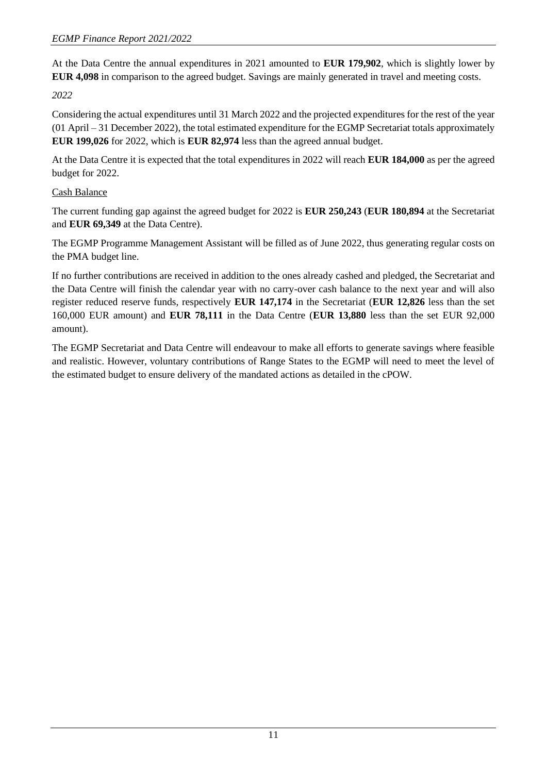At the Data Centre the annual expenditures in 2021 amounted to **EUR 179,902**, which is slightly lower by **EUR 4,098** in comparison to the agreed budget. Savings are mainly generated in travel and meeting costs.

*2022*

Considering the actual expenditures until 31 March 2022 and the projected expenditures for the rest of the year (01 April – 31 December 2022), the total estimated expenditure for the EGMP Secretariat totals approximately **EUR 199,026** for 2022, which is **EUR 82,974** less than the agreed annual budget.

At the Data Centre it is expected that the total expenditures in 2022 will reach **EUR 184,000** as per the agreed budget for 2022.

# Cash Balance

The current funding gap against the agreed budget for 2022 is **EUR 250,243** (**EUR 180,894** at the Secretariat and **EUR 69,349** at the Data Centre).

The EGMP Programme Management Assistant will be filled as of June 2022, thus generating regular costs on the PMA budget line.

If no further contributions are received in addition to the ones already cashed and pledged, the Secretariat and the Data Centre will finish the calendar year with no carry-over cash balance to the next year and will also register reduced reserve funds, respectively **EUR 147,174** in the Secretariat (**EUR 12,826** less than the set 160,000 EUR amount) and **EUR 78,111** in the Data Centre (**EUR 13,880** less than the set EUR 92,000 amount).

The EGMP Secretariat and Data Centre will endeavour to make all efforts to generate savings where feasible and realistic. However, voluntary contributions of Range States to the EGMP will need to meet the level of the estimated budget to ensure delivery of the mandated actions as detailed in the cPOW.